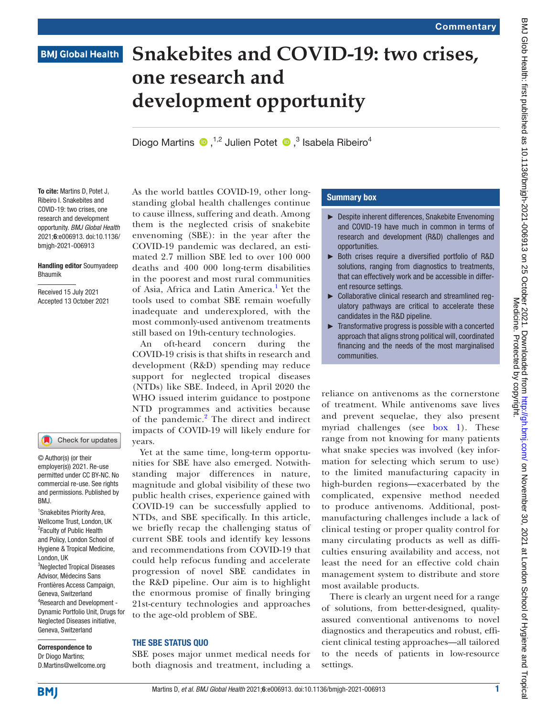# **BMJ Global Health**

# **Snakebites and COVID-19: two crises, one research and development opportunity**

DiogoMartins  $\bullet$ , <sup>1,2</sup> Julien Potet  $\bullet$ , <sup>3</sup> Isabela Ribeiro<sup>4</sup>

To cite: Martins D, Potet J, Ribeiro I. Snakebites and COVID-19: two crises, one research and development opportunity. *BMJ Global Health* 2021;6:e006913. doi:10.1136/ bmjgh-2021-006913

#### Handling editor Soumyadeep Bhaumik

Received 15 July 2021 Accepted 13 October 2021

#### Check for updates

© Author(s) (or their employer(s)) 2021. Re-use permitted under CC BY-NC. No commercial re-use. See rights and permissions. Published by BMJ.

1 Snakebites Priority Area, Wellcome Trust, London, UK <sup>2</sup> Faculty of Public Health and Policy, London School of Hygiene & Tropical Medicine, London, UK 3 Neglected Tropical Diseases Advisor, Médecins Sans Frontières Access Campaign, Geneva, Switzerland 4 Research and Development - Dynamic Portfolio Unit, Drugs for Neglected Diseases initiative, Geneva, Switzerland

Correspondence to Dr Diogo Martins; D.Martins@wellcome.org As the world battles COVID-19, other longstanding global health challenges continue to cause illness, suffering and death. Among them is the neglected crisis of snakebite envenoming (SBE): in the year after the COVID-19 pandemic was declared, an estimated 2.7 million SBE led to over 100 000 deaths and 400 000 long-term disabilities in the poorest and most rural communities of Asia, Africa and Latin America.<sup>[1](#page-2-0)</sup> Yet the tools used to combat SBE remain woefully inadequate and underexplored, with the most commonly-used antivenom treatments still based on 19th-century technologies.

An oft-heard concern during the COVID-19 crisis is that shifts in research and development (R&D) spending may reduce support for neglected tropical diseases (NTDs) like SBE. Indeed, in April 2020 the WHO issued interim guidance to postpone NTD programmes and activities because of the pandemic.<sup>[2](#page-3-0)</sup> The direct and indirect impacts of COVID-19 will likely endure for years.

Yet at the same time, long-term opportunities for SBE have also emerged. Notwithstanding major differences in nature, magnitude and global visibility of these two public health crises, experience gained with COVID-19 can be successfully applied to NTDs, and SBE specifically. In this article, we briefly recap the challenging status of current SBE tools and identify key lessons and recommendations from COVID-19 that could help refocus funding and accelerate progression of novel SBE candidates in the R&D pipeline. Our aim is to highlight the enormous promise of finally bringing 21st-century technologies and approaches to the age-old problem of SBE.

## THE SBE STATUS QUO

SBE poses major unmet medical needs for both diagnosis and treatment, including a

### Summary box

- ► Despite inherent differences, Snakebite Envenoming and COVID-19 have much in common in terms of research and development (R&D) challenges and opportunities.
- ► Both crises require a diversified portfolio of R&D solutions, ranging from diagnostics to treatments, that can effectively work and be accessible in different resource settings.
- ► Collaborative clinical research and streamlined regulatory pathways are critical to accelerate these candidates in the R&D pipeline.
- ► Transformative progress is possible with a concerted approach that aligns strong political will, coordinated financing and the needs of the most marginalised communities.

reliance on antivenoms as the cornerstone of treatment. While antivenoms save lives and prevent sequelae, they also present myriad challenges (see [box](#page-1-0) 1). These range from not knowing for many patients what snake species was involved (key information for selecting which serum to use) to the limited manufacturing capacity in high-burden regions—exacerbated by the complicated, expensive method needed to produce antivenoms. Additional, postmanufacturing challenges include a lack of clinical testing or proper quality control for many circulating products as well as difficulties ensuring availability and access, not least the need for an effective cold chain management system to distribute and store most available products.

There is clearly an urgent need for a range of solutions, from better-designed, qualityassured conventional antivenoms to novel diagnostics and therapeutics and robust, efficient clinical testing approaches—all tailored to the needs of patients in low-resource settings.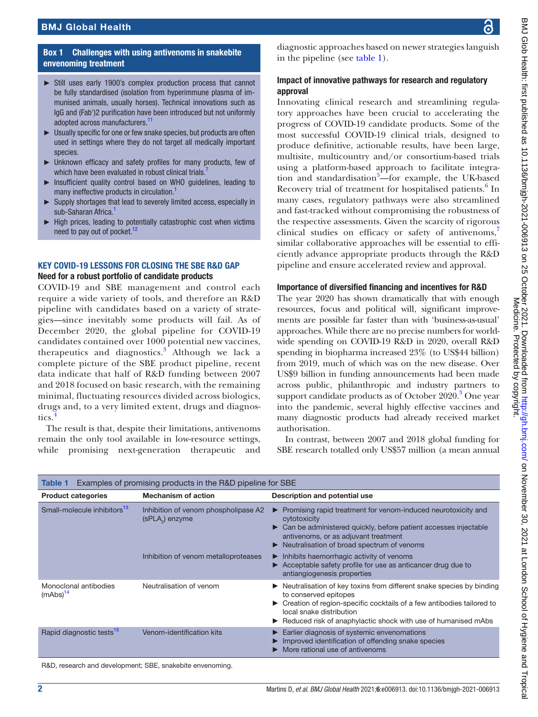# BMJ Global Health

## Box 1 Challenges with using antivenoms in snakebite envenoming treatment

- <span id="page-1-0"></span>► Still uses early 1900's complex production process that cannot be fully standardised (isolation from hyperimmune plasma of immunised animals, usually horses). Technical innovations such as IgG and (Fab')2 purification have been introduced but not uniformly adopted across manufacturers.<sup>[11](#page-3-6)</sup>
- ► Usually specific for one or few snake species, but products are often used in settings where they do not target all medically important species.
- ► Unknown efficacy and safety profiles for many products, few of which have been evaluated in robust clinical trials.<sup>[7](#page-3-5)</sup>
- ► Insufficient quality control based on WHO guidelines, leading to many ineffective products in circulation.<sup>1</sup>
- Supply shortages that lead to severely limited access, especially in sub-Saharan Africa.<sup>[1](#page-2-0)</sup>
- High prices, leading to potentially catastrophic cost when victims need to pay out of pocket. $12$

#### KEY COVID-19 LESSONS FOR CLOSING THE SBE R&D GAP Need for a robust portfolio of candidate products

COVID-19 and SBE management and control each require a wide variety of tools, and therefore an R&D pipeline with candidates based on a variety of strategies—since inevitably some products will fail. As of December 2020, the global pipeline for COVID-19 candidates contained over 1000 potential new vaccines, therapeutics and diagnostics.<sup>[3](#page-3-1)</sup> Although we lack a complete picture of the SBE product pipeline, recent data indicate that half of R&D funding between 2007 and 2018 focused on basic research, with the remaining minimal, fluctuating resources divided across biologics, drugs and, to a very limited extent, drugs and diagnostics.

The result is that, despite their limitations, antivenoms remain the only tool available in low-resource settings, while promising next-generation therapeutic and

diagnostic approaches based on newer strategies languish in the pipeline (see [table](#page-1-1) 1).

# Impact of innovative pathways for research and regulatory approval

Innovating clinical research and streamlining regulatory approaches have been crucial to accelerating the progress of COVID-19 candidate products. Some of the most successful COVID-19 clinical trials, designed to produce definitive, actionable results, have been large, multisite, multicountry and/or consortium-based trials using a platform-based approach to facilitate integra-tion and standardisation<sup>[5](#page-3-3)</sup>-for example, the UK-based Recovery trial of treatment for hospitalised patients.<sup>[6](#page-3-4)</sup> In many cases, regulatory pathways were also streamlined and fast-tracked without compromising the robustness of the respective assessments. Given the scarcity of rigorous clinical studies on efficacy or safety of antivenoms,<sup>[7](#page-3-5)</sup> similar collaborative approaches will be essential to efficiently advance appropriate products through the R&D pipeline and ensure accelerated review and approval.

## Importance of diversified financing and incentives for R&D

The year 2020 has shown dramatically that with enough resources, focus and political will, significant improvements are possible far faster than with 'business-as-usual' approaches. While there are no precise numbers for worldwide spending on COVID-19 R&D in 2020, overall R&D spending in biopharma increased 23% (to US\$44 billion) from 2019, much of which was on the new disease. Over US\$9 billion in funding announcements had been made across public, philanthropic and industry partners to support candidate products as of October 2020.<sup>3</sup> One year into the pandemic, several highly effective vaccines and many diagnostic products had already received market authorisation.

In contrast, between 2007 and 2018 global funding for SBE research totalled only US\$57 million (a mean annual

<span id="page-1-1"></span>

| Examples of promising products in the R&D pipeline for SBE<br>Table 1 |                                                                     |                                                                                                                                                                                                                                                                     |
|-----------------------------------------------------------------------|---------------------------------------------------------------------|---------------------------------------------------------------------------------------------------------------------------------------------------------------------------------------------------------------------------------------------------------------------|
| <b>Product categories</b>                                             | <b>Mechanism of action</b>                                          | Description and potential use                                                                                                                                                                                                                                       |
| Small-molecule inhibitors <sup>13</sup>                               | Inhibition of venom phospholipase A2<br>(sPLA <sub>2</sub> ) enzyme | Promising rapid treatment for venom-induced neurotoxicity and<br>cytotoxicity<br>Can be administered quickly, before patient accesses injectable<br>antivenoms, or as adjuvant treatment<br>Neutralisation of broad spectrum of venoms                              |
|                                                                       | Inhibition of venom metalloproteases                                | Inhibits haemorrhagic activity of venoms<br>Acceptable safety profile for use as anticancer drug due to<br>antiangiogenesis properties                                                                                                                              |
| Monoclonal antibodies<br>(mAbs) <sup>14</sup>                         | Neutralisation of venom                                             | Neutralisation of key toxins from different snake species by binding<br>to conserved epitopes<br>Creation of region-specific cocktails of a few antibodies tailored to<br>local snake distribution<br>Reduced risk of anaphylactic shock with use of humanised mAbs |
| Rapid diagnostic tests <sup>15</sup>                                  | Venom-identification kits                                           | Earlier diagnosis of systemic envenomations<br>Improved identification of offending snake species<br>More rational use of antivenoms                                                                                                                                |

R&D, research and development; SBE, snakebite envenoming.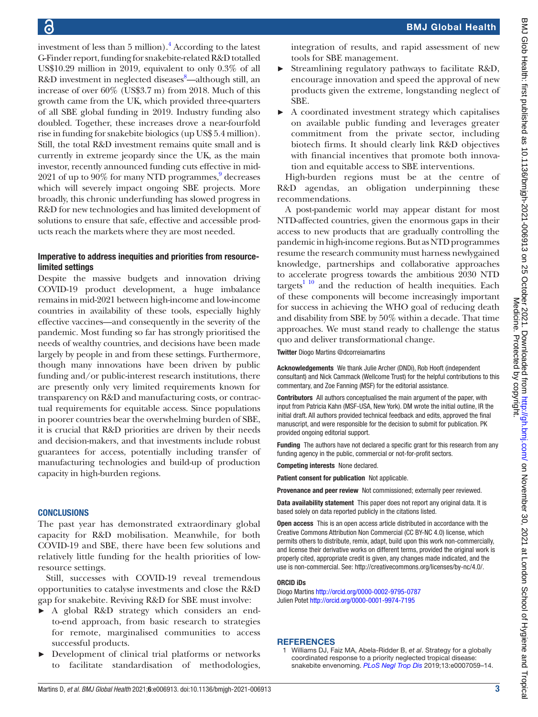investment of less than 5 million).<sup>4</sup> According to the latest G-Finder report, funding for snakebite-related R&D totalled US\$10.29 million in 2019, equivalent to only 0.3% of all R&D investment in neglected diseases<sup>[8](#page-3-11)</sup>-although still, an increase of over 60% (US\$3.7 m) from 2018. Much of this growth came from the UK, which provided three-quarters of all SBE global funding in 2019. Industry funding also doubled. Together, these increases drove a near-fourfold rise in funding for snakebite biologics (up US\$ 5.4 million). Still, the total R&D investment remains quite small and is currently in extreme jeopardy since the UK, as the main investor, recently announced funding cuts effective in mid-2021 of up to 90% for many NTD programmes,<sup>9</sup> decreases which will severely impact ongoing SBE projects. More broadly, this chronic underfunding has slowed progress in R&D for new technologies and has limited development of solutions to ensure that safe, effective and accessible products reach the markets where they are most needed.

# Imperative to address inequities and priorities from resourcelimited settings

Despite the massive budgets and innovation driving COVID-19 product development, a huge imbalance remains in mid-2021 between high-income and low-income countries in availability of these tools, especially highly effective vaccines—and consequently in the severity of the pandemic. Most funding so far has strongly prioritised the needs of wealthy countries, and decisions have been made largely by people in and from these settings. Furthermore, though many innovations have been driven by public funding and/or public-interest research institutions, there are presently only very limited requirements known for transparency on R&D and manufacturing costs, or contractual requirements for equitable access. Since populations in poorer countries bear the overwhelming burden of SBE, it is crucial that R&D priorities are driven by their needs and decision-makers, and that investments include robust guarantees for access, potentially including transfer of manufacturing technologies and build-up of production capacity in high-burden regions.

# **CONCLUSIONS**

The past year has demonstrated extraordinary global capacity for R&D mobilisation. Meanwhile, for both COVID-19 and SBE, there have been few solutions and relatively little funding for the health priorities of lowresource settings.

Still, successes with COVID-19 reveal tremendous opportunities to catalyse investments and close the R&D gap for snakebite. Reviving R&D for SBE must involve:

- A global R&D strategy which considers an endto-end approach, from basic research to strategies for remote, marginalised communities to access successful products.
- Development of clinical trial platforms or networks to facilitate standardisation of methodologies,

integration of results, and rapid assessment of new tools for SBE management.

- Streamlining regulatory pathways to facilitate R&D, encourage innovation and speed the approval of new products given the extreme, longstanding neglect of SBE.
- ► A coordinated investment strategy which capitalises on available public funding and leverages greater commitment from the private sector, including biotech firms. It should clearly link R&D objectives with financial incentives that promote both innovation and equitable access to SBE interventions.

High-burden regions must be at the centre of R&D agendas, an obligation underpinning these recommendations.

A post-pandemic world may appear distant for most NTD-affected countries, given the enormous gaps in their access to new products that are gradually controlling the pandemic in high-income regions. But as NTD programmes resume the research community must harness newlygained knowledge, partnerships and collaborative approaches to accelerate progress towards the ambitious 2030 NTD targets<sup>[1 10](#page-2-0)</sup> and the reduction of health inequities. Each of these components will become increasingly important for success in achieving the WHO goal of reducing death and disability from SBE by 50% within a decade. That time approaches. We must stand ready to challenge the status quo and deliver transformational change.

Twitter Diogo Martins [@dcorreiamartins](https://twitter.com/dcorreiamartins)

Acknowledgements We thank Julie Archer (DNDi), Rob Hooft (independent consultant) and Nick Cammack (Wellcome Trust) for the helpful contributions to this commentary, and Zoe Fanning (MSF) for the editorial assistance.

Contributors All authors conceptualised the main argument of the paper, with input from Patricia Kahn (MSF-USA, New York). DM wrote the initial outline, IR the initial draft. All authors provided technical feedback and edits, approved the final manuscript, and were responsible for the decision to submit for publication. PK provided ongoing editorial support.

Funding The authors have not declared a specific grant for this research from any funding agency in the public, commercial or not-for-profit sectors.

Competing interests None declared.

Patient consent for publication Not applicable.

Provenance and peer review Not commissioned; externally peer reviewed.

Data availability statement This paper does not report any original data. It is based solely on data reported publicly in the citations listed.

Open access This is an open access article distributed in accordance with the Creative Commons Attribution Non Commercial (CC BY-NC 4.0) license, which permits others to distribute, remix, adapt, build upon this work non-commercially, and license their derivative works on different terms, provided the original work is properly cited, appropriate credit is given, any changes made indicated, and the use is non-commercial. See:<http://creativecommons.org/licenses/by-nc/4.0/>.

## ORCID iDs

Diogo Martins <http://orcid.org/0000-0002-9795-0787> Julien Potet<http://orcid.org/0000-0001-9974-7195>

# **REFERENCES**

<span id="page-2-0"></span>1 Williams DJ, Faiz MA, Abela-Ridder B, *et al*. Strategy for a globally coordinated response to a priority neglected tropical disease: snakebite envenoming. *[PLoS Negl Trop Dis](http://dx.doi.org/10.1371/journal.pntd.0007059)* 2019;13:e0007059–14.